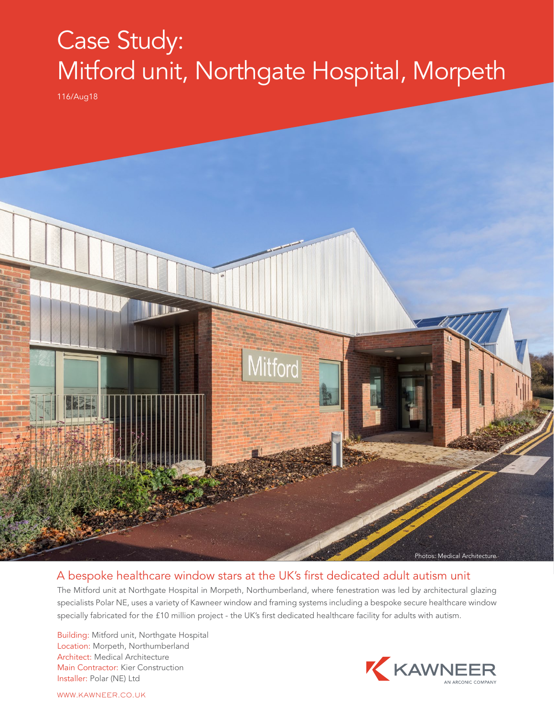## Case Study: Mitford unit, Northgate Hospital, Morpeth

116/Aug18



## A bespoke healthcare window stars at the UK's first dedicated adult autism unit

The Mitford unit at Northgate Hospital in Morpeth, Northumberland, where fenestration was led by architectural glazing specialists Polar NE, uses a variety of Kawneer window and framing systems including a bespoke secure healthcare window specially fabricated for the £10 million project - the UK's first dedicated healthcare facility for adults with autism.

Building: Mitford unit, Northgate Hospital Location: Morpeth, Northumberland Architect: Medical Architecture Main Contractor: Kier Construction Installer: Polar (NE) Ltd



WWW.KAWNEER.CO.UK